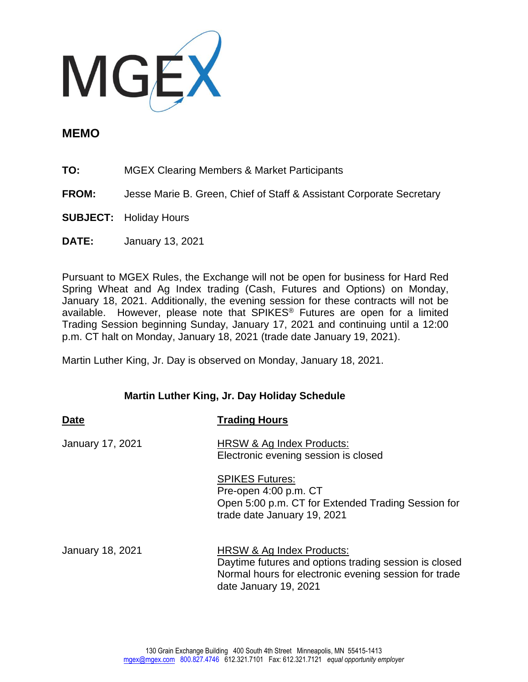

## **MEMO**

- **TO:** MGEX Clearing Members & Market Participants
- **FROM:** Jesse Marie B. Green, Chief of Staff & Assistant Corporate Secretary
- **SUBJECT:** Holiday Hours
- **DATE:** January 13, 2021

Pursuant to MGEX Rules, the Exchange will not be open for business for Hard Red Spring Wheat and Ag Index trading (Cash, Futures and Options) on Monday, January 18, 2021. Additionally, the evening session for these contracts will not be available. However, please note that SPIKES® Futures are open for a limited Trading Session beginning Sunday, January 17, 2021 and continuing until a 12:00 p.m. CT halt on Monday, January 18, 2021 (trade date January 19, 2021).

Martin Luther King, Jr. Day is observed on Monday, January 18, 2021.

## **Martin Luther King, Jr. Day Holiday Schedule**

| <b>Date</b>             | <b>Trading Hours</b>                                                                                                                                                 |
|-------------------------|----------------------------------------------------------------------------------------------------------------------------------------------------------------------|
| January 17, 2021        | HRSW & Ag Index Products:<br>Electronic evening session is closed                                                                                                    |
|                         | <b>SPIKES Futures:</b><br>Pre-open 4:00 p.m. CT<br>Open 5:00 p.m. CT for Extended Trading Session for<br>trade date January 19, 2021                                 |
| <b>January 18, 2021</b> | HRSW & Ag Index Products:<br>Daytime futures and options trading session is closed<br>Normal hours for electronic evening session for trade<br>date January 19, 2021 |